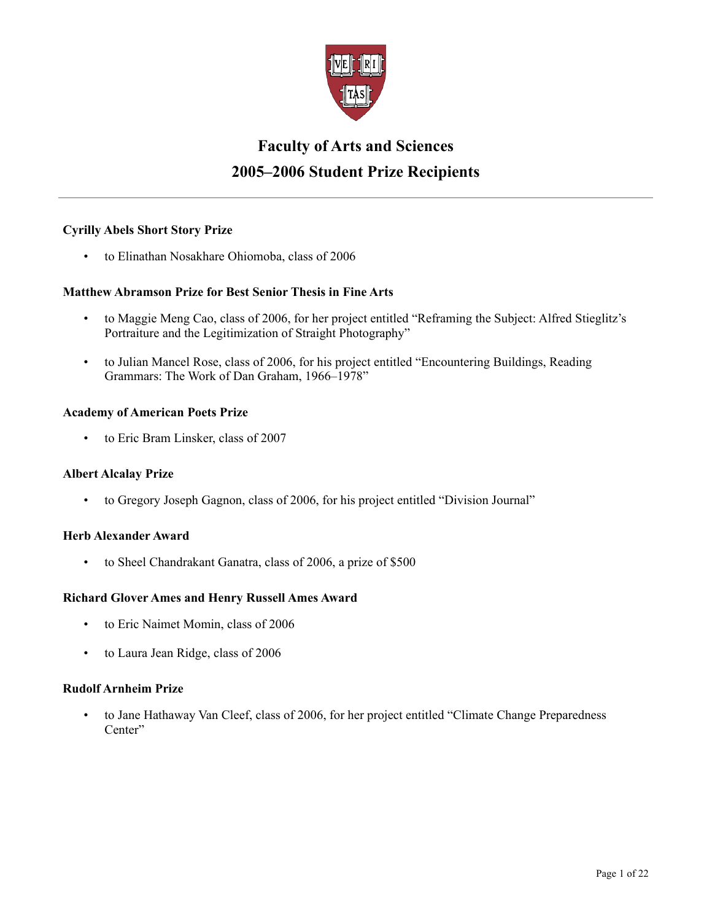

# **Faculty of Arts and Sciences 2005–2006 Student Prize Recipients**

# **Cyrilly Abels Short Story Prize**

• to Elinathan Nosakhare Ohiomoba, class of 2006

# **Matthew Abramson Prize for Best Senior Thesis in Fine Arts**

- to Maggie Meng Cao, class of 2006, for her project entitled "Reframing the Subject: Alfred Stieglitz's Portraiture and the Legitimization of Straight Photography"
- to Julian Mancel Rose, class of 2006, for his project entitled "Encountering Buildings, Reading Grammars: The Work of Dan Graham, 1966–1978"

# **Academy of American Poets Prize**

• to Eric Bram Linsker, class of 2007

# **Albert Alcalay Prize**

• to Gregory Joseph Gagnon, class of 2006, for his project entitled "Division Journal"

# **Herb Alexander Award**

• to Sheel Chandrakant Ganatra, class of 2006, a prize of \$500

# **Richard Glover Ames and Henry Russell Ames Award**

- to Eric Naimet Momin, class of 2006
- to Laura Jean Ridge, class of 2006

# **Rudolf Arnheim Prize**

• to Jane Hathaway Van Cleef, class of 2006, for her project entitled "Climate Change Preparedness Center"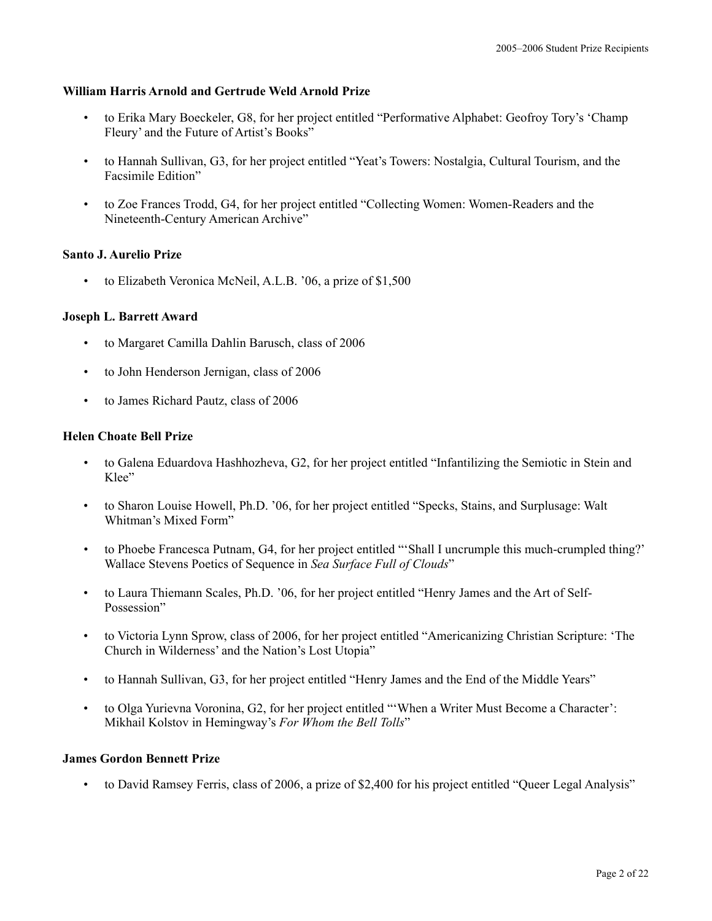# **William Harris Arnold and Gertrude Weld Arnold Prize**

- to Erika Mary Boeckeler, G8, for her project entitled "Performative Alphabet: Geofroy Tory's 'Champ Fleury' and the Future of Artist's Books"
- to Hannah Sullivan, G3, for her project entitled "Yeat's Towers: Nostalgia, Cultural Tourism, and the Facsimile Edition"
- to Zoe Frances Trodd, G4, for her project entitled "Collecting Women: Women-Readers and the Nineteenth-Century American Archive"

## **Santo J. Aurelio Prize**

to Elizabeth Veronica McNeil, A.L.B. '06, a prize of \$1,500

## **Joseph L. Barrett Award**

- to Margaret Camilla Dahlin Barusch, class of 2006
- to John Henderson Jernigan, class of 2006
- to James Richard Pautz, class of 2006

## **Helen Choate Bell Prize**

- to Galena Eduardova Hashhozheva, G2, for her project entitled "Infantilizing the Semiotic in Stein and Klee"
- to Sharon Louise Howell, Ph.D. '06, for her project entitled "Specks, Stains, and Surplusage: Walt Whitman's Mixed Form"
- to Phoebe Francesca Putnam, G4, for her project entitled "'Shall I uncrumple this much-crumpled thing?' Wallace Stevens Poetics of Sequence in *Sea Surface Full of Clouds*"
- to Laura Thiemann Scales, Ph.D. '06, for her project entitled "Henry James and the Art of Self-Possession"
- to Victoria Lynn Sprow, class of 2006, for her project entitled "Americanizing Christian Scripture: 'The Church in Wilderness' and the Nation's Lost Utopia"
- to Hannah Sullivan, G3, for her project entitled "Henry James and the End of the Middle Years"
- to Olga Yurievna Voronina, G2, for her project entitled "'When a Writer Must Become a Character': Mikhail Kolstov in Hemingway's *For Whom the Bell Tolls*"

#### **James Gordon Bennett Prize**

• to David Ramsey Ferris, class of 2006, a prize of \$2,400 for his project entitled "Queer Legal Analysis"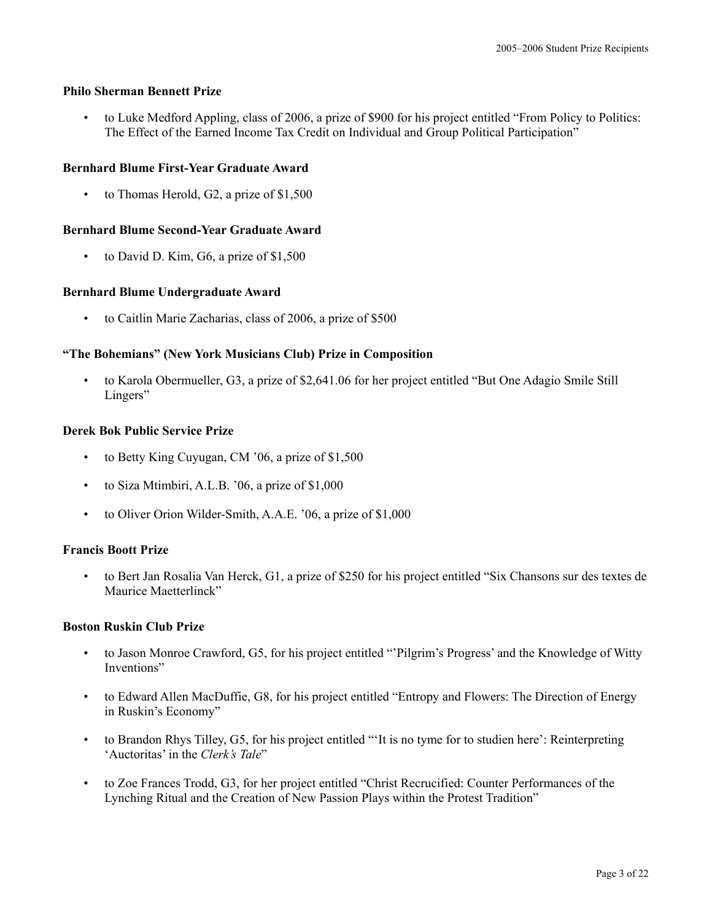# **Philo Sherman Bennett Prize**

• to Luke Medford Appling, class of 2006, a prize of \$900 for his project entitled "From Policy to Politics: The Effect of the Earned Income Tax Credit on Individual and Group Political Participation"

# **Bernhard Blume First-Year Graduate Award**

• to Thomas Herold, G2, a prize of \$1,500

# **Bernhard Blume Second-Year Graduate Award**

to David D. Kim, G6, a prize of \$1,500

# **Bernhard Blume Undergraduate Award**

• to Caitlin Marie Zacharias, class of 2006, a prize of \$500

# **"The Bohemians" (New York Musicians Club) Prize in Composition**

• to Karola Obermueller, G3, a prize of \$2,641.06 for her project entitled "But One Adagio Smile Still Lingers"

# **Derek Bok Public Service Prize**

- to Betty King Cuyugan, CM '06, a prize of \$1,500
- to Siza Mtimbiri, A.L.B. '06, a prize of \$1,000
- to Oliver Orion Wilder-Smith, A.A.E. '06, a prize of \$1,000

# **Francis Boott Prize**

• to Bert Jan Rosalia Van Herck, G1, a prize of \$250 for his project entitled "Six Chansons sur des textes de Maurice Maetterlinck"

# **Boston Ruskin Club Prize**

- to Jason Monroe Crawford, G5, for his project entitled "'Pilgrim's Progress' and the Knowledge of Witty Inventions"
- to Edward Allen MacDuffie, G8, for his project entitled "Entropy and Flowers: The Direction of Energy in Ruskin's Economy"
- to Brandon Rhys Tilley, G5, for his project entitled "'It is no tyme for to studien here': Reinterpreting 'Auctoritas' in the *Clerk's Tale*"
- to Zoe Frances Trodd, G3, for her project entitled "Christ Recrucified: Counter Performances of the Lynching Ritual and the Creation of New Passion Plays within the Protest Tradition"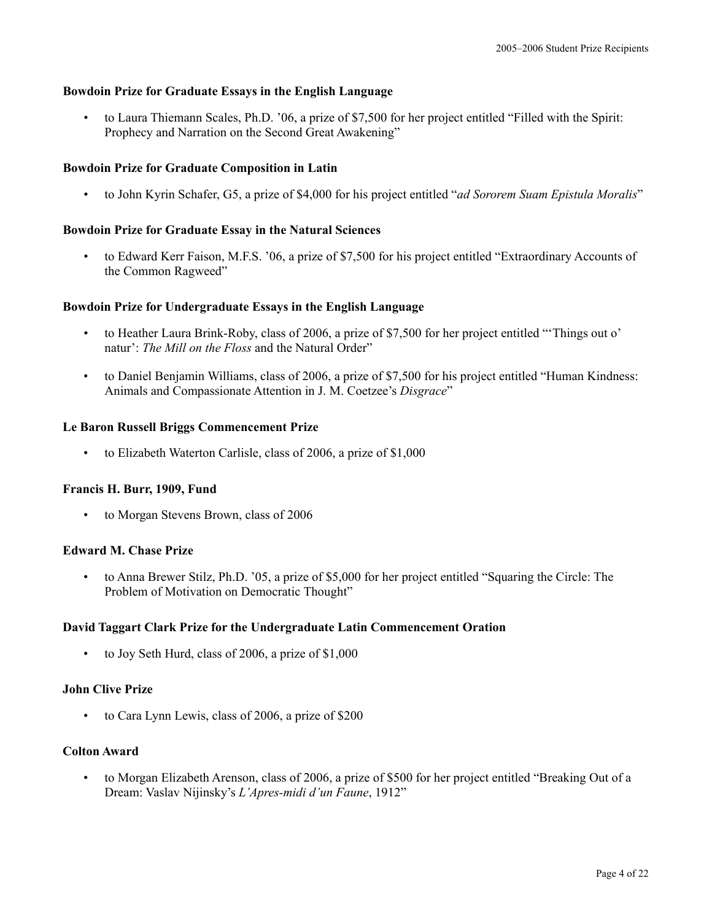# **Bowdoin Prize for Graduate Essays in the English Language**

• to Laura Thiemann Scales, Ph.D. '06, a prize of \$7,500 for her project entitled "Filled with the Spirit: Prophecy and Narration on the Second Great Awakening"

# **Bowdoin Prize for Graduate Composition in Latin**

• to John Kyrin Schafer, G5, a prize of \$4,000 for his project entitled "*ad Sororem Suam Epistula Moralis*"

# **Bowdoin Prize for Graduate Essay in the Natural Sciences**

• to Edward Kerr Faison, M.F.S. '06, a prize of \$7,500 for his project entitled "Extraordinary Accounts of the Common Ragweed"

## **Bowdoin Prize for Undergraduate Essays in the English Language**

- to Heather Laura Brink-Roby, class of 2006, a prize of \$7,500 for her project entitled "'Things out o' natur': *The Mill on the Floss* and the Natural Order"
- to Daniel Benjamin Williams, class of 2006, a prize of \$7,500 for his project entitled "Human Kindness: Animals and Compassionate Attention in J. M. Coetzee's *Disgrace*"

#### **Le Baron Russell Briggs Commencement Prize**

• to Elizabeth Waterton Carlisle, class of 2006, a prize of \$1,000

#### **Francis H. Burr, 1909, Fund**

• to Morgan Stevens Brown, class of 2006

# **Edward M. Chase Prize**

• to Anna Brewer Stilz, Ph.D. '05, a prize of \$5,000 for her project entitled "Squaring the Circle: The Problem of Motivation on Democratic Thought"

#### **David Taggart Clark Prize for the Undergraduate Latin Commencement Oration**

• to Joy Seth Hurd, class of 2006, a prize of \$1,000

#### **John Clive Prize**

to Cara Lynn Lewis, class of 2006, a prize of \$200

# **Colton Award**

• to Morgan Elizabeth Arenson, class of 2006, a prize of \$500 for her project entitled "Breaking Out of a Dream: Vaslav Nijinsky's *L'Apres-midi d'un Faune*, 1912"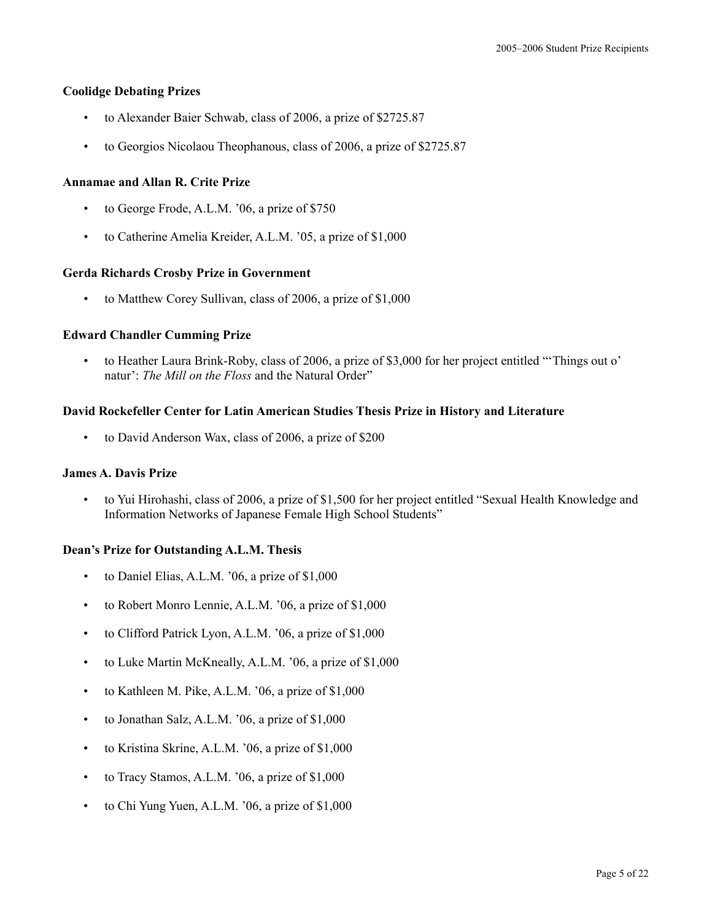## **Coolidge Debating Prizes**

- to Alexander Baier Schwab, class of 2006, a prize of \$2725.87
- to Georgios Nicolaou Theophanous, class of 2006, a prize of \$2725.87

## **Annamae and Allan R. Crite Prize**

- to George Frode, A.L.M. '06, a prize of \$750
- to Catherine Amelia Kreider, A.L.M. '05, a prize of \$1,000

#### **Gerda Richards Crosby Prize in Government**

to Matthew Corey Sullivan, class of 2006, a prize of \$1,000

## **Edward Chandler Cumming Prize**

• to Heather Laura Brink-Roby, class of 2006, a prize of \$3,000 for her project entitled "'Things out o' natur': *The Mill on the Floss* and the Natural Order"

## **David Rockefeller Center for Latin American Studies Thesis Prize in History and Literature**

• to David Anderson Wax, class of 2006, a prize of \$200

# **James A. Davis Prize**

• to Yui Hirohashi, class of 2006, a prize of \$1,500 for her project entitled "Sexual Health Knowledge and Information Networks of Japanese Female High School Students"

# **Dean's Prize for Outstanding A.L.M. Thesis**

- to Daniel Elias, A.L.M. '06, a prize of \$1,000
- to Robert Monro Lennie, A.L.M. '06, a prize of \$1,000
- to Clifford Patrick Lyon, A.L.M. '06, a prize of \$1,000
- to Luke Martin McKneally, A.L.M. '06, a prize of \$1,000
- to Kathleen M. Pike, A.L.M. '06, a prize of \$1,000
- to Jonathan Salz, A.L.M. '06, a prize of \$1,000
- to Kristina Skrine, A.L.M. '06, a prize of \$1,000
- to Tracy Stamos, A.L.M. '06, a prize of \$1,000
- to Chi Yung Yuen, A.L.M. '06, a prize of \$1,000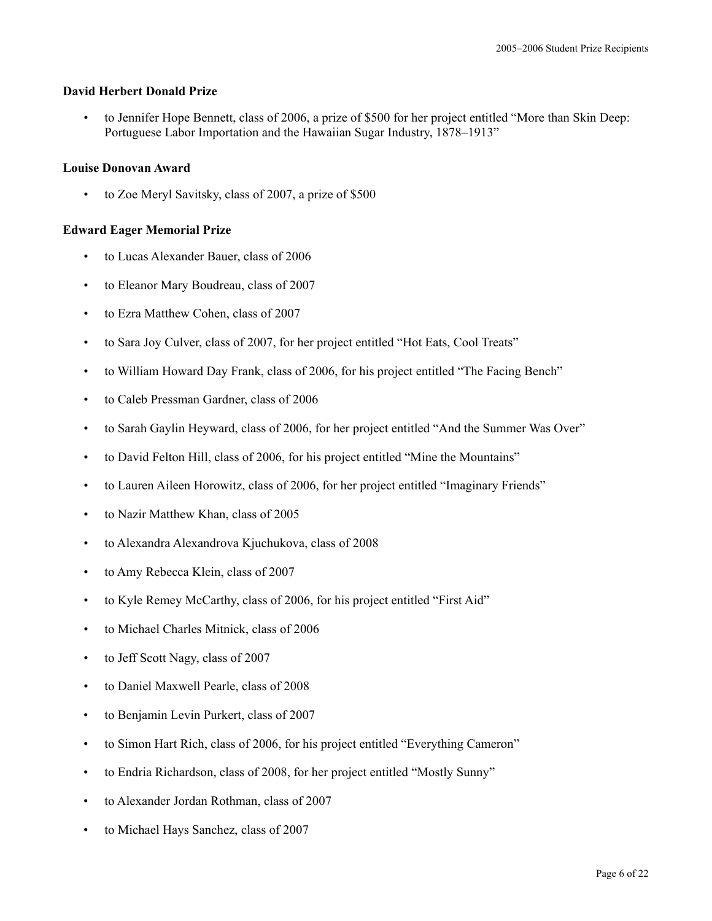## **David Herbert Donald Prize**

• to Jennifer Hope Bennett, class of 2006, a prize of \$500 for her project entitled "More than Skin Deep: Portuguese Labor Importation and the Hawaiian Sugar Industry, 1878–1913"

## **Louise Donovan Award**

• to Zoe Meryl Savitsky, class of 2007, a prize of \$500

# **Edward Eager Memorial Prize**

- to Lucas Alexander Bauer, class of 2006
- to Eleanor Mary Boudreau, class of 2007
- to Ezra Matthew Cohen, class of 2007
- to Sara Joy Culver, class of 2007, for her project entitled "Hot Eats, Cool Treats"
- to William Howard Day Frank, class of 2006, for his project entitled "The Facing Bench"
- to Caleb Pressman Gardner, class of 2006
- to Sarah Gaylin Heyward, class of 2006, for her project entitled "And the Summer Was Over"
- to David Felton Hill, class of 2006, for his project entitled "Mine the Mountains"
- to Lauren Aileen Horowitz, class of 2006, for her project entitled "Imaginary Friends"
- to Nazir Matthew Khan, class of 2005
- to Alexandra Alexandrova Kjuchukova, class of 2008
- to Amy Rebecca Klein, class of 2007
- to Kyle Remey McCarthy, class of 2006, for his project entitled "First Aid"
- to Michael Charles Mitnick, class of 2006
- to Jeff Scott Nagy, class of 2007
- to Daniel Maxwell Pearle, class of 2008
- to Benjamin Levin Purkert, class of 2007
- to Simon Hart Rich, class of 2006, for his project entitled "Everything Cameron"
- to Endria Richardson, class of 2008, for her project entitled "Mostly Sunny"
- to Alexander Jordan Rothman, class of 2007
- to Michael Hays Sanchez, class of 2007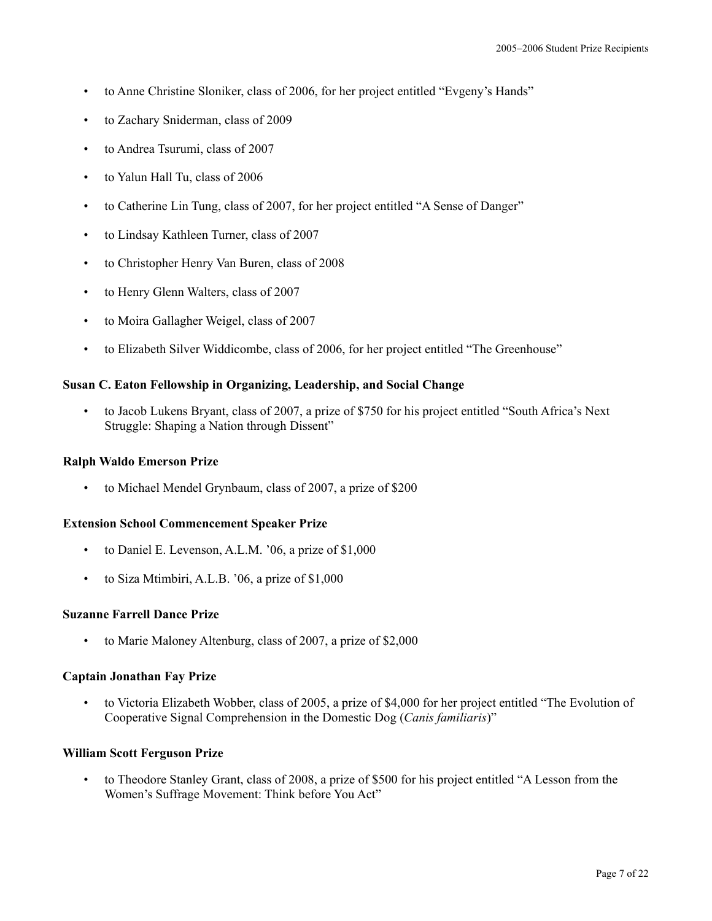- to Anne Christine Sloniker, class of 2006, for her project entitled "Evgeny's Hands"
- to Zachary Sniderman, class of 2009
- to Andrea Tsurumi, class of 2007
- to Yalun Hall Tu, class of 2006
- to Catherine Lin Tung, class of 2007, for her project entitled "A Sense of Danger"
- to Lindsay Kathleen Turner, class of 2007
- to Christopher Henry Van Buren, class of 2008
- to Henry Glenn Walters, class of 2007
- to Moira Gallagher Weigel, class of 2007
- to Elizabeth Silver Widdicombe, class of 2006, for her project entitled "The Greenhouse"

## **Susan C. Eaton Fellowship in Organizing, Leadership, and Social Change**

• to Jacob Lukens Bryant, class of 2007, a prize of \$750 for his project entitled "South Africa's Next Struggle: Shaping a Nation through Dissent"

#### **Ralph Waldo Emerson Prize**

• to Michael Mendel Grynbaum, class of 2007, a prize of \$200

#### **Extension School Commencement Speaker Prize**

- to Daniel E. Levenson, A.L.M. '06, a prize of \$1,000
- to Siza Mtimbiri, A.L.B. '06, a prize of \$1,000

#### **Suzanne Farrell Dance Prize**

• to Marie Maloney Altenburg, class of 2007, a prize of \$2,000

#### **Captain Jonathan Fay Prize**

• to Victoria Elizabeth Wobber, class of 2005, a prize of \$4,000 for her project entitled "The Evolution of Cooperative Signal Comprehension in the Domestic Dog (*Canis familiaris*)"

#### **William Scott Ferguson Prize**

• to Theodore Stanley Grant, class of 2008, a prize of \$500 for his project entitled "A Lesson from the Women's Suffrage Movement: Think before You Act"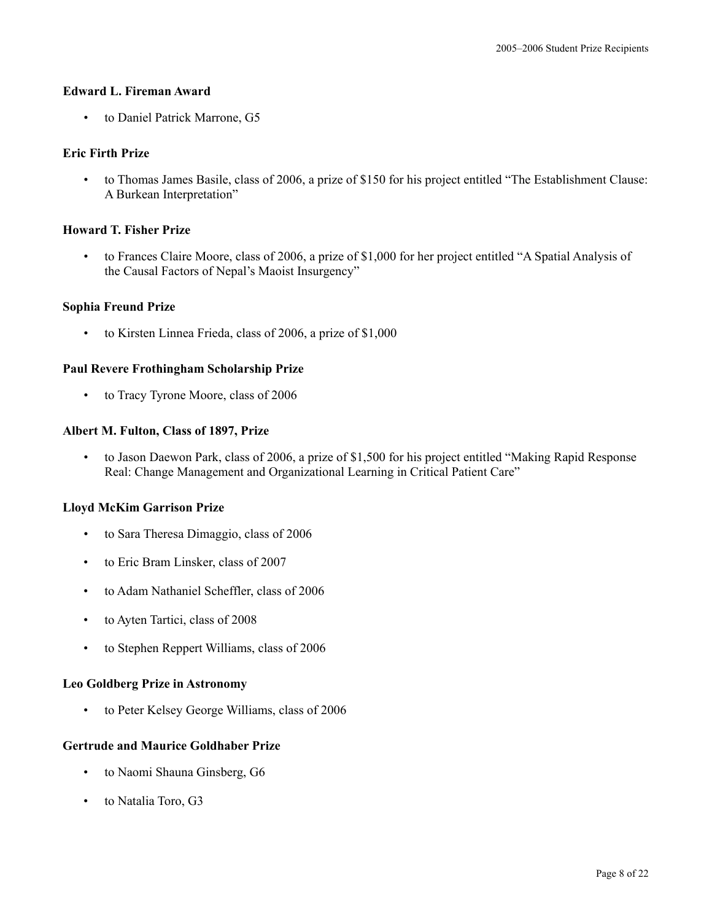## **Edward L. Fireman Award**

• to Daniel Patrick Marrone, G5

## **Eric Firth Prize**

• to Thomas James Basile, class of 2006, a prize of \$150 for his project entitled "The Establishment Clause: A Burkean Interpretation"

# **Howard T. Fisher Prize**

• to Frances Claire Moore, class of 2006, a prize of \$1,000 for her project entitled "A Spatial Analysis of the Causal Factors of Nepal's Maoist Insurgency"

## **Sophia Freund Prize**

• to Kirsten Linnea Frieda, class of 2006, a prize of \$1,000

## **Paul Revere Frothingham Scholarship Prize**

• to Tracy Tyrone Moore, class of 2006

## **Albert M. Fulton, Class of 1897, Prize**

• to Jason Daewon Park, class of 2006, a prize of \$1,500 for his project entitled "Making Rapid Response Real: Change Management and Organizational Learning in Critical Patient Care"

## **Lloyd McKim Garrison Prize**

- to Sara Theresa Dimaggio, class of 2006
- to Eric Bram Linsker, class of 2007
- to Adam Nathaniel Scheffler, class of 2006
- to Ayten Tartici, class of 2008
- to Stephen Reppert Williams, class of 2006

#### **Leo Goldberg Prize in Astronomy**

• to Peter Kelsey George Williams, class of 2006

# **Gertrude and Maurice Goldhaber Prize**

- to Naomi Shauna Ginsberg, G6
- to Natalia Toro, G3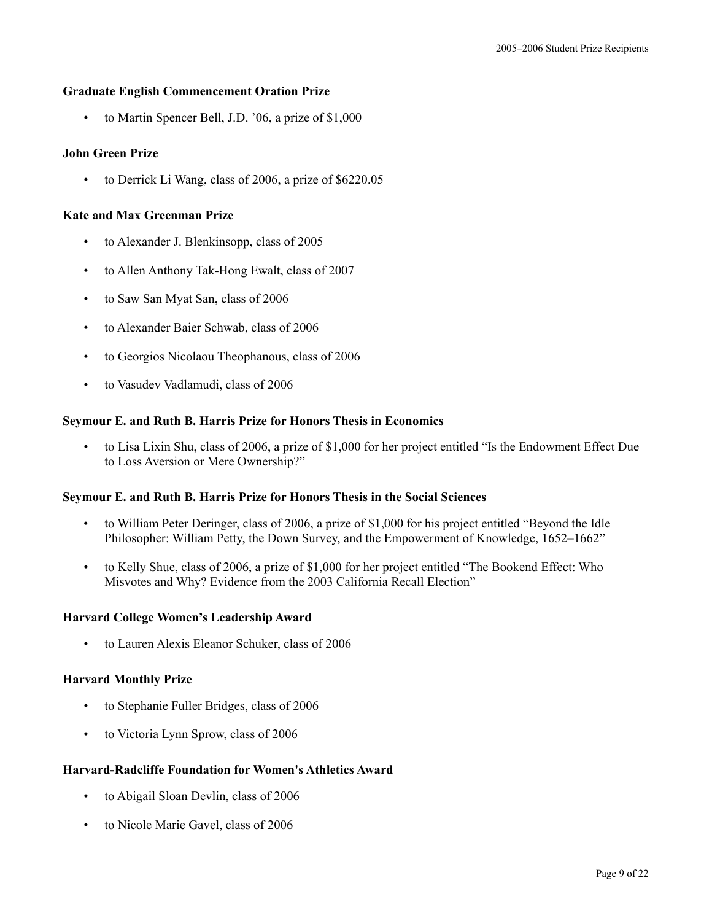# **Graduate English Commencement Oration Prize**

• to Martin Spencer Bell, J.D. '06, a prize of \$1,000

# **John Green Prize**

• to Derrick Li Wang, class of 2006, a prize of \$6220.05

# **Kate and Max Greenman Prize**

- to Alexander J. Blenkinsopp, class of 2005
- to Allen Anthony Tak-Hong Ewalt, class of 2007
- to Saw San Myat San, class of 2006
- to Alexander Baier Schwab, class of 2006
- to Georgios Nicolaou Theophanous, class of 2006
- to Vasudev Vadlamudi, class of 2006

# **Seymour E. and Ruth B. Harris Prize for Honors Thesis in Economics**

• to Lisa Lixin Shu, class of 2006, a prize of \$1,000 for her project entitled "Is the Endowment Effect Due to Loss Aversion or Mere Ownership?"

# **Seymour E. and Ruth B. Harris Prize for Honors Thesis in the Social Sciences**

- to William Peter Deringer, class of 2006, a prize of \$1,000 for his project entitled "Beyond the Idle Philosopher: William Petty, the Down Survey, and the Empowerment of Knowledge, 1652–1662"
- to Kelly Shue, class of 2006, a prize of \$1,000 for her project entitled "The Bookend Effect: Who Misvotes and Why? Evidence from the 2003 California Recall Election"

# **Harvard College Women's Leadership Award**

• to Lauren Alexis Eleanor Schuker, class of 2006

# **Harvard Monthly Prize**

- to Stephanie Fuller Bridges, class of 2006
- to Victoria Lynn Sprow, class of 2006

# **Harvard-Radcliffe Foundation for Women's Athletics Award**

- to Abigail Sloan Devlin, class of 2006
- to Nicole Marie Gavel, class of 2006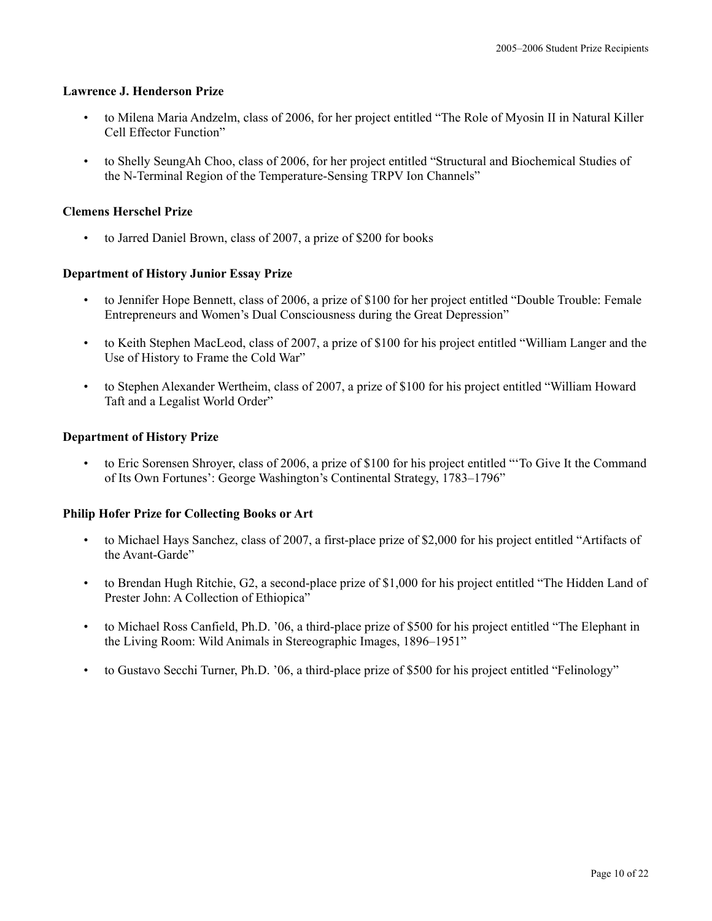#### **Lawrence J. Henderson Prize**

- to Milena Maria Andzelm, class of 2006, for her project entitled "The Role of Myosin II in Natural Killer Cell Effector Function"
- to Shelly SeungAh Choo, class of 2006, for her project entitled "Structural and Biochemical Studies of the N-Terminal Region of the Temperature-Sensing TRPV Ion Channels"

## **Clemens Herschel Prize**

to Jarred Daniel Brown, class of 2007, a prize of \$200 for books

## **Department of History Junior Essay Prize**

- to Jennifer Hope Bennett, class of 2006, a prize of \$100 for her project entitled "Double Trouble: Female Entrepreneurs and Women's Dual Consciousness during the Great Depression"
- to Keith Stephen MacLeod, class of 2007, a prize of \$100 for his project entitled "William Langer and the Use of History to Frame the Cold War"
- to Stephen Alexander Wertheim, class of 2007, a prize of \$100 for his project entitled "William Howard Taft and a Legalist World Order"

#### **Department of History Prize**

• to Eric Sorensen Shroyer, class of 2006, a prize of \$100 for his project entitled "'To Give It the Command of Its Own Fortunes': George Washington's Continental Strategy, 1783–1796"

#### **Philip Hofer Prize for Collecting Books or Art**

- to Michael Hays Sanchez, class of 2007, a first-place prize of \$2,000 for his project entitled "Artifacts of the Avant-Garde"
- to Brendan Hugh Ritchie, G2, a second-place prize of \$1,000 for his project entitled "The Hidden Land of Prester John: A Collection of Ethiopica"
- to Michael Ross Canfield, Ph.D. '06, a third-place prize of \$500 for his project entitled "The Elephant in the Living Room: Wild Animals in Stereographic Images, 1896–1951"
- to Gustavo Secchi Turner, Ph.D. '06, a third-place prize of \$500 for his project entitled "Felinology"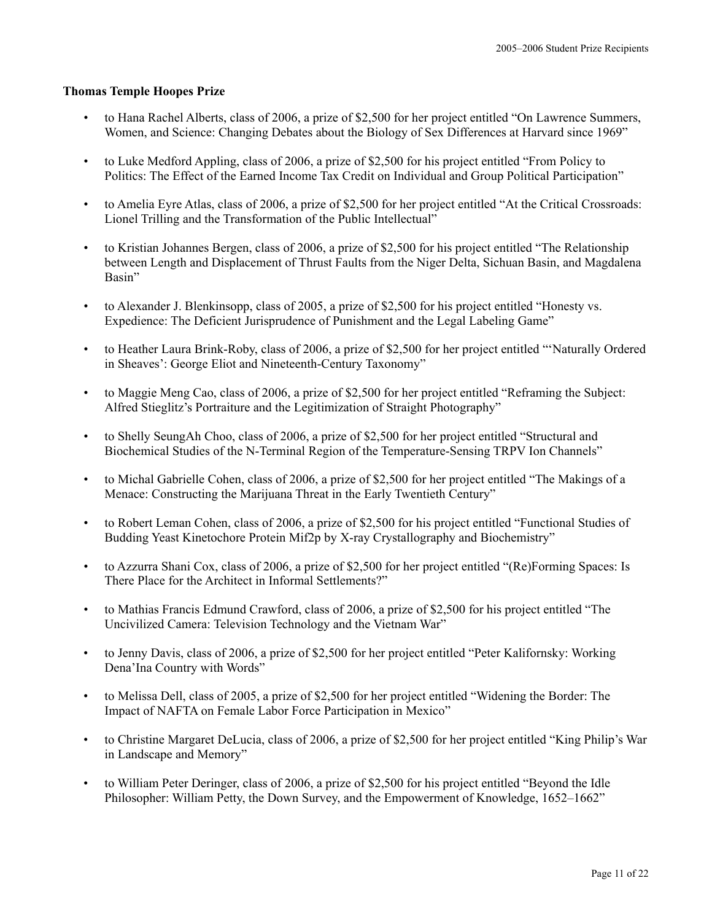#### **Thomas Temple Hoopes Prize**

- to Hana Rachel Alberts, class of 2006, a prize of \$2,500 for her project entitled "On Lawrence Summers, Women, and Science: Changing Debates about the Biology of Sex Differences at Harvard since 1969"
- to Luke Medford Appling, class of 2006, a prize of \$2,500 for his project entitled "From Policy to Politics: The Effect of the Earned Income Tax Credit on Individual and Group Political Participation"
- to Amelia Eyre Atlas, class of 2006, a prize of \$2,500 for her project entitled "At the Critical Crossroads: Lionel Trilling and the Transformation of the Public Intellectual"
- to Kristian Johannes Bergen, class of 2006, a prize of \$2,500 for his project entitled "The Relationship between Length and Displacement of Thrust Faults from the Niger Delta, Sichuan Basin, and Magdalena Basin"
- to Alexander J. Blenkinsopp, class of 2005, a prize of \$2,500 for his project entitled "Honesty vs. Expedience: The Deficient Jurisprudence of Punishment and the Legal Labeling Game"
- to Heather Laura Brink-Roby, class of 2006, a prize of \$2,500 for her project entitled "'Naturally Ordered in Sheaves': George Eliot and Nineteenth-Century Taxonomy"
- to Maggie Meng Cao, class of 2006, a prize of \$2,500 for her project entitled "Reframing the Subject: Alfred Stieglitz's Portraiture and the Legitimization of Straight Photography"
- to Shelly SeungAh Choo, class of 2006, a prize of \$2,500 for her project entitled "Structural and Biochemical Studies of the N-Terminal Region of the Temperature-Sensing TRPV Ion Channels"
- to Michal Gabrielle Cohen, class of 2006, a prize of \$2,500 for her project entitled "The Makings of a Menace: Constructing the Marijuana Threat in the Early Twentieth Century"
- to Robert Leman Cohen, class of 2006, a prize of \$2,500 for his project entitled "Functional Studies of Budding Yeast Kinetochore Protein Mif2p by X-ray Crystallography and Biochemistry"
- to Azzurra Shani Cox, class of 2006, a prize of \$2,500 for her project entitled "(Re)Forming Spaces: Is There Place for the Architect in Informal Settlements?"
- to Mathias Francis Edmund Crawford, class of 2006, a prize of \$2,500 for his project entitled "The Uncivilized Camera: Television Technology and the Vietnam War"
- to Jenny Davis, class of 2006, a prize of \$2,500 for her project entitled "Peter Kalifornsky: Working Dena'Ina Country with Words"
- to Melissa Dell, class of 2005, a prize of \$2,500 for her project entitled "Widening the Border: The Impact of NAFTA on Female Labor Force Participation in Mexico"
- to Christine Margaret DeLucia, class of 2006, a prize of \$2,500 for her project entitled "King Philip's War in Landscape and Memory"
- to William Peter Deringer, class of 2006, a prize of \$2,500 for his project entitled "Beyond the Idle Philosopher: William Petty, the Down Survey, and the Empowerment of Knowledge, 1652–1662"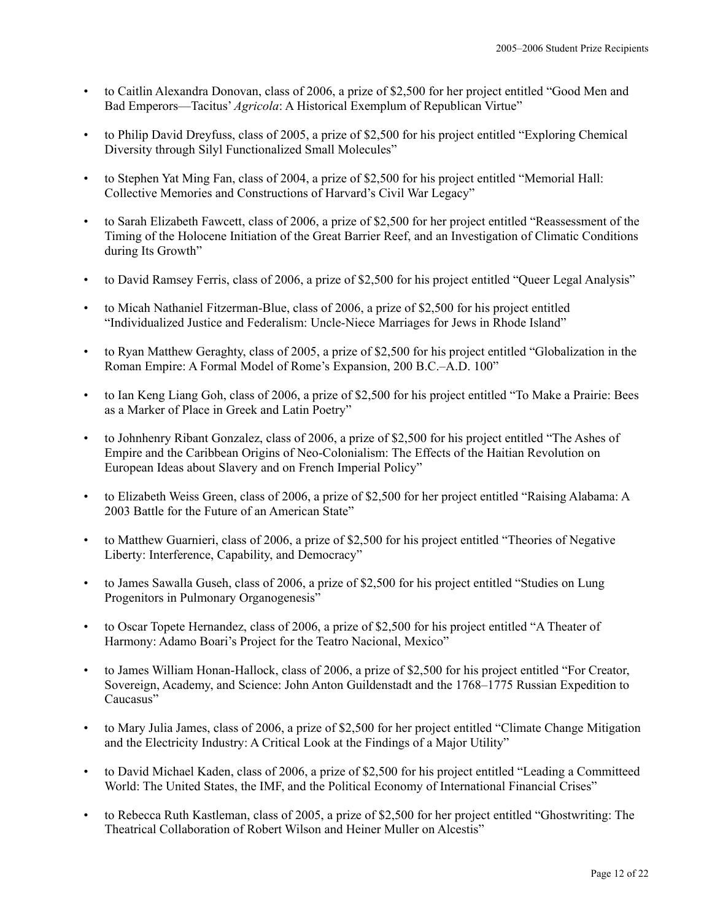- to Caitlin Alexandra Donovan, class of 2006, a prize of \$2,500 for her project entitled "Good Men and Bad Emperors—Tacitus' *Agricola*: A Historical Exemplum of Republican Virtue"
- to Philip David Dreyfuss, class of 2005, a prize of \$2,500 for his project entitled "Exploring Chemical Diversity through Silyl Functionalized Small Molecules"
- to Stephen Yat Ming Fan, class of 2004, a prize of \$2,500 for his project entitled "Memorial Hall: Collective Memories and Constructions of Harvard's Civil War Legacy"
- to Sarah Elizabeth Fawcett, class of 2006, a prize of \$2,500 for her project entitled "Reassessment of the Timing of the Holocene Initiation of the Great Barrier Reef, and an Investigation of Climatic Conditions during Its Growth"
- to David Ramsey Ferris, class of 2006, a prize of \$2,500 for his project entitled "Queer Legal Analysis"
- to Micah Nathaniel Fitzerman-Blue, class of 2006, a prize of \$2,500 for his project entitled "Individualized Justice and Federalism: Uncle-Niece Marriages for Jews in Rhode Island"
- to Ryan Matthew Geraghty, class of 2005, a prize of \$2,500 for his project entitled "Globalization in the Roman Empire: A Formal Model of Rome's Expansion, 200 B.C.–A.D. 100"
- to Ian Keng Liang Goh, class of 2006, a prize of \$2,500 for his project entitled "To Make a Prairie: Bees as a Marker of Place in Greek and Latin Poetry"
- to Johnhenry Ribant Gonzalez, class of 2006, a prize of \$2,500 for his project entitled "The Ashes of Empire and the Caribbean Origins of Neo-Colonialism: The Effects of the Haitian Revolution on European Ideas about Slavery and on French Imperial Policy"
- to Elizabeth Weiss Green, class of 2006, a prize of \$2,500 for her project entitled "Raising Alabama: A 2003 Battle for the Future of an American State"
- to Matthew Guarnieri, class of 2006, a prize of \$2,500 for his project entitled "Theories of Negative Liberty: Interference, Capability, and Democracy"
- to James Sawalla Guseh, class of 2006, a prize of \$2,500 for his project entitled "Studies on Lung Progenitors in Pulmonary Organogenesis"
- to Oscar Topete Hernandez, class of 2006, a prize of \$2,500 for his project entitled "A Theater of Harmony: Adamo Boari's Project for the Teatro Nacional, Mexico"
- to James William Honan-Hallock, class of 2006, a prize of \$2,500 for his project entitled "For Creator, Sovereign, Academy, and Science: John Anton Guildenstadt and the 1768–1775 Russian Expedition to Caucasus"
- to Mary Julia James, class of 2006, a prize of \$2,500 for her project entitled "Climate Change Mitigation and the Electricity Industry: A Critical Look at the Findings of a Major Utility"
- to David Michael Kaden, class of 2006, a prize of \$2,500 for his project entitled "Leading a Committeed World: The United States, the IMF, and the Political Economy of International Financial Crises"
- to Rebecca Ruth Kastleman, class of 2005, a prize of \$2,500 for her project entitled "Ghostwriting: The Theatrical Collaboration of Robert Wilson and Heiner Muller on Alcestis"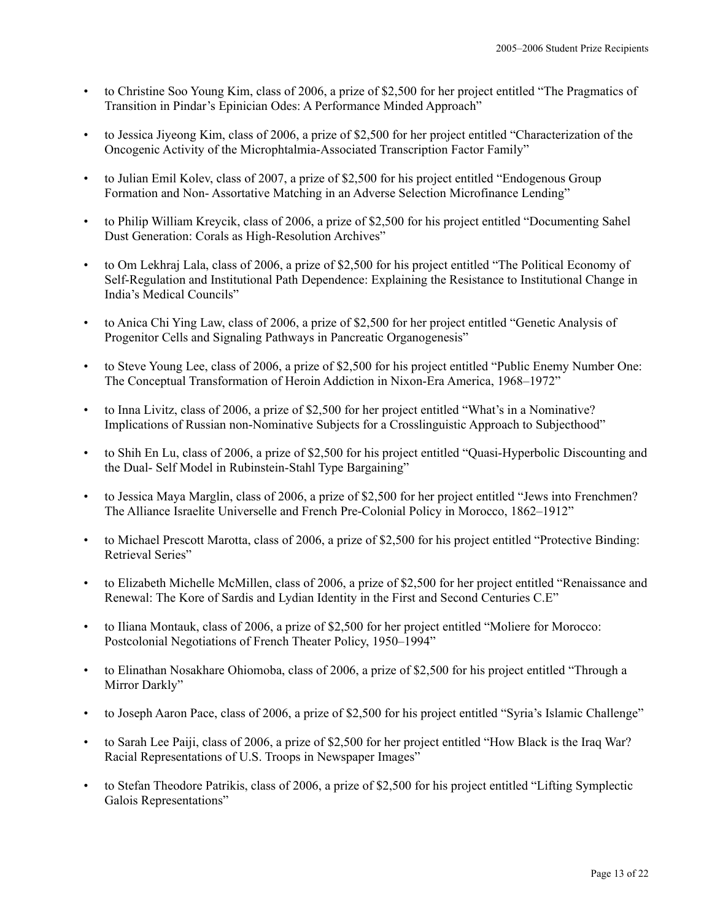- to Christine Soo Young Kim, class of 2006, a prize of \$2,500 for her project entitled "The Pragmatics of Transition in Pindar's Epinician Odes: A Performance Minded Approach"
- to Jessica Jiyeong Kim, class of 2006, a prize of \$2,500 for her project entitled "Characterization of the Oncogenic Activity of the Microphtalmia-Associated Transcription Factor Family"
- to Julian Emil Kolev, class of 2007, a prize of \$2,500 for his project entitled "Endogenous Group Formation and Non- Assortative Matching in an Adverse Selection Microfinance Lending"
- to Philip William Kreycik, class of 2006, a prize of \$2,500 for his project entitled "Documenting Sahel Dust Generation: Corals as High-Resolution Archives"
- to Om Lekhraj Lala, class of 2006, a prize of \$2,500 for his project entitled "The Political Economy of Self-Regulation and Institutional Path Dependence: Explaining the Resistance to Institutional Change in India's Medical Councils"
- to Anica Chi Ying Law, class of 2006, a prize of \$2,500 for her project entitled "Genetic Analysis of Progenitor Cells and Signaling Pathways in Pancreatic Organogenesis"
- to Steve Young Lee, class of 2006, a prize of \$2,500 for his project entitled "Public Enemy Number One: The Conceptual Transformation of Heroin Addiction in Nixon-Era America, 1968–1972"
- to Inna Livitz, class of 2006, a prize of \$2,500 for her project entitled "What's in a Nominative? Implications of Russian non-Nominative Subjects for a Crosslinguistic Approach to Subjecthood"
- to Shih En Lu, class of 2006, a prize of \$2,500 for his project entitled "Quasi-Hyperbolic Discounting and the Dual- Self Model in Rubinstein-Stahl Type Bargaining"
- to Jessica Maya Marglin, class of 2006, a prize of \$2,500 for her project entitled "Jews into Frenchmen? The Alliance Israelite Universelle and French Pre-Colonial Policy in Morocco, 1862–1912"
- to Michael Prescott Marotta, class of 2006, a prize of \$2,500 for his project entitled "Protective Binding: Retrieval Series"
- to Elizabeth Michelle McMillen, class of 2006, a prize of \$2,500 for her project entitled "Renaissance and Renewal: The Kore of Sardis and Lydian Identity in the First and Second Centuries C.E"
- to Iliana Montauk, class of 2006, a prize of \$2,500 for her project entitled "Moliere for Morocco: Postcolonial Negotiations of French Theater Policy, 1950–1994"
- to Elinathan Nosakhare Ohiomoba, class of 2006, a prize of \$2,500 for his project entitled "Through a Mirror Darkly"
- to Joseph Aaron Pace, class of 2006, a prize of \$2,500 for his project entitled "Syria's Islamic Challenge"
- to Sarah Lee Paiji, class of 2006, a prize of \$2,500 for her project entitled "How Black is the Iraq War? Racial Representations of U.S. Troops in Newspaper Images"
- to Stefan Theodore Patrikis, class of 2006, a prize of \$2,500 for his project entitled "Lifting Symplectic Galois Representations"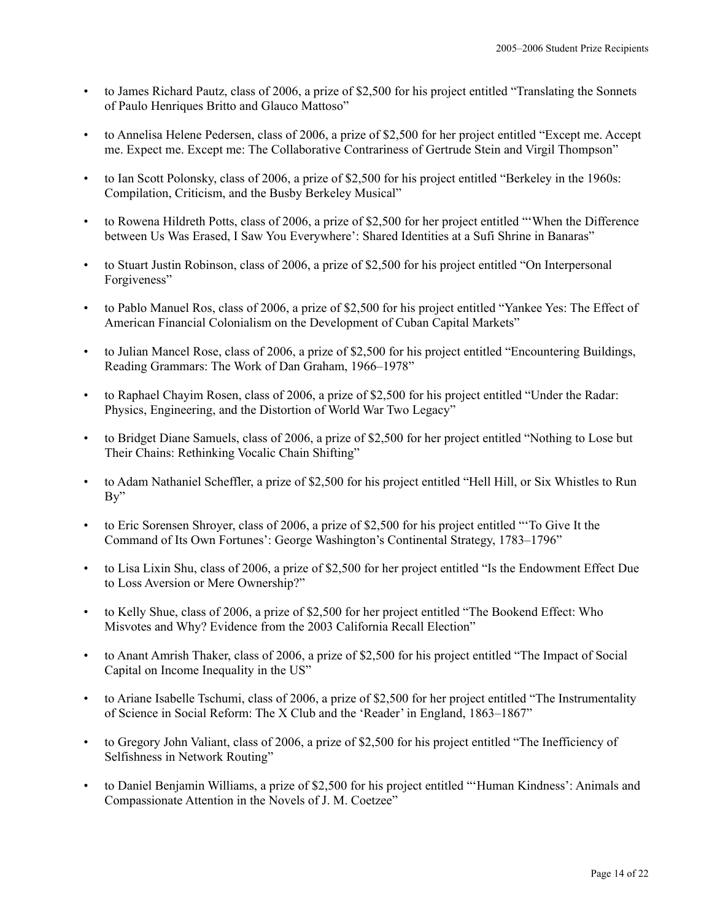- to James Richard Pautz, class of 2006, a prize of \$2,500 for his project entitled "Translating the Sonnets of Paulo Henriques Britto and Glauco Mattoso"
- to Annelisa Helene Pedersen, class of 2006, a prize of \$2,500 for her project entitled "Except me. Accept me. Expect me. Except me: The Collaborative Contrariness of Gertrude Stein and Virgil Thompson"
- to Ian Scott Polonsky, class of 2006, a prize of \$2,500 for his project entitled "Berkeley in the 1960s: Compilation, Criticism, and the Busby Berkeley Musical"
- to Rowena Hildreth Potts, class of 2006, a prize of \$2,500 for her project entitled "'When the Difference between Us Was Erased, I Saw You Everywhere': Shared Identities at a Sufi Shrine in Banaras"
- to Stuart Justin Robinson, class of 2006, a prize of \$2,500 for his project entitled "On Interpersonal Forgiveness"
- to Pablo Manuel Ros, class of 2006, a prize of \$2,500 for his project entitled "Yankee Yes: The Effect of American Financial Colonialism on the Development of Cuban Capital Markets"
- to Julian Mancel Rose, class of 2006, a prize of \$2,500 for his project entitled "Encountering Buildings, Reading Grammars: The Work of Dan Graham, 1966–1978"
- to Raphael Chayim Rosen, class of 2006, a prize of \$2,500 for his project entitled "Under the Radar: Physics, Engineering, and the Distortion of World War Two Legacy"
- to Bridget Diane Samuels, class of 2006, a prize of \$2,500 for her project entitled "Nothing to Lose but Their Chains: Rethinking Vocalic Chain Shifting"
- to Adam Nathaniel Scheffler, a prize of \$2,500 for his project entitled "Hell Hill, or Six Whistles to Run By"
- to Eric Sorensen Shroyer, class of 2006, a prize of \$2,500 for his project entitled "'To Give It the Command of Its Own Fortunes': George Washington's Continental Strategy, 1783–1796"
- to Lisa Lixin Shu, class of 2006, a prize of \$2,500 for her project entitled "Is the Endowment Effect Due to Loss Aversion or Mere Ownership?"
- to Kelly Shue, class of 2006, a prize of \$2,500 for her project entitled "The Bookend Effect: Who Misvotes and Why? Evidence from the 2003 California Recall Election"
- to Anant Amrish Thaker, class of 2006, a prize of \$2,500 for his project entitled "The Impact of Social Capital on Income Inequality in the US"
- to Ariane Isabelle Tschumi, class of 2006, a prize of \$2,500 for her project entitled "The Instrumentality of Science in Social Reform: The X Club and the 'Reader' in England, 1863–1867"
- to Gregory John Valiant, class of 2006, a prize of \$2,500 for his project entitled "The Inefficiency of Selfishness in Network Routing"
- to Daniel Benjamin Williams, a prize of \$2,500 for his project entitled "'Human Kindness': Animals and Compassionate Attention in the Novels of J. M. Coetzee"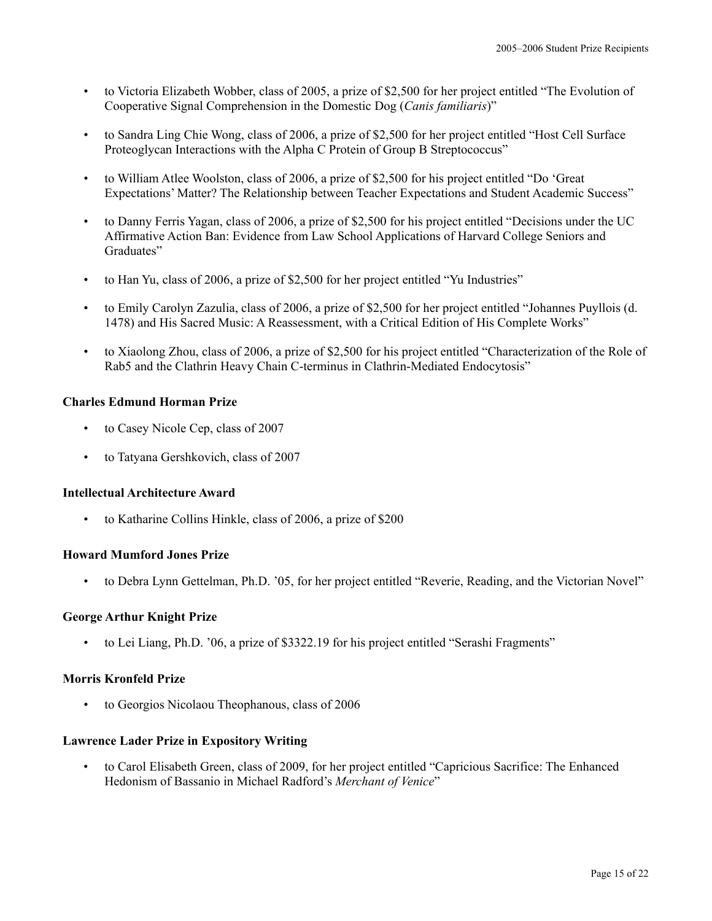- to Victoria Elizabeth Wobber, class of 2005, a prize of \$2,500 for her project entitled "The Evolution of Cooperative Signal Comprehension in the Domestic Dog (*Canis familiaris*)"
- to Sandra Ling Chie Wong, class of 2006, a prize of \$2,500 for her project entitled "Host Cell Surface Proteoglycan Interactions with the Alpha C Protein of Group B Streptococcus"
- to William Atlee Woolston, class of 2006, a prize of \$2,500 for his project entitled "Do 'Great Expectations' Matter? The Relationship between Teacher Expectations and Student Academic Success"
- to Danny Ferris Yagan, class of 2006, a prize of \$2,500 for his project entitled "Decisions under the UC Affirmative Action Ban: Evidence from Law School Applications of Harvard College Seniors and Graduates"
- to Han Yu, class of 2006, a prize of \$2,500 for her project entitled "Yu Industries"
- to Emily Carolyn Zazulia, class of 2006, a prize of \$2,500 for her project entitled "Johannes Puyllois (d. 1478) and His Sacred Music: A Reassessment, with a Critical Edition of His Complete Works"
- to Xiaolong Zhou, class of 2006, a prize of \$2,500 for his project entitled "Characterization of the Role of Rab5 and the Clathrin Heavy Chain C-terminus in Clathrin-Mediated Endocytosis"

## **Charles Edmund Horman Prize**

- to Casey Nicole Cep, class of 2007
- to Tatyana Gershkovich, class of 2007

## **Intellectual Architecture Award**

• to Katharine Collins Hinkle, class of 2006, a prize of \$200

#### **Howard Mumford Jones Prize**

• to Debra Lynn Gettelman, Ph.D. '05, for her project entitled "Reverie, Reading, and the Victorian Novel"

#### **George Arthur Knight Prize**

• to Lei Liang, Ph.D. '06, a prize of \$3322.19 for his project entitled "Serashi Fragments"

## **Morris Kronfeld Prize**

• to Georgios Nicolaou Theophanous, class of 2006

#### **Lawrence Lader Prize in Expository Writing**

• to Carol Elisabeth Green, class of 2009, for her project entitled "Capricious Sacrifice: The Enhanced Hedonism of Bassanio in Michael Radford's *Merchant of Venice*"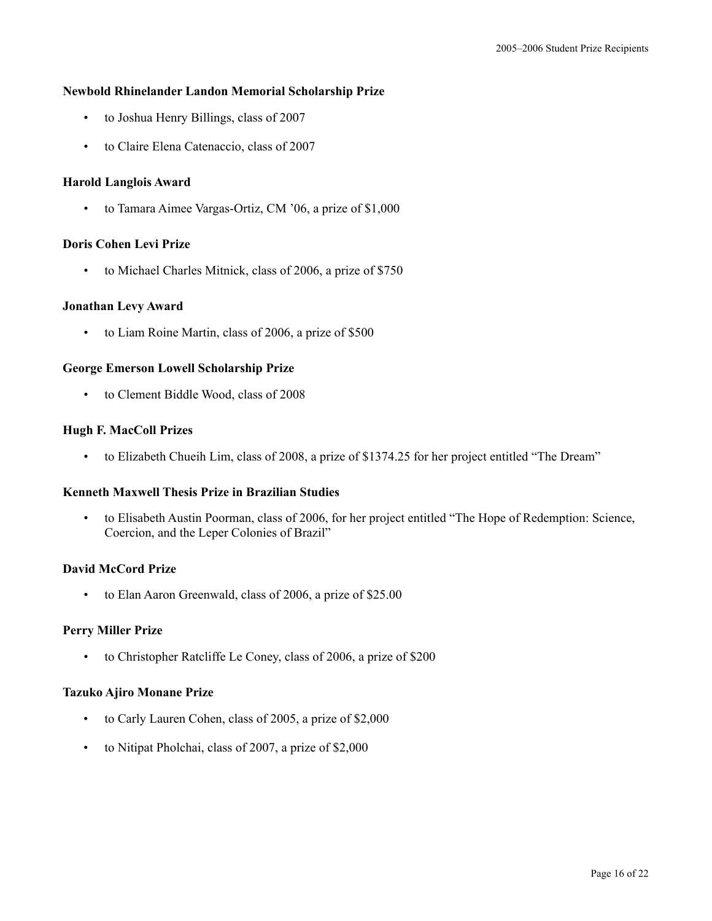## **Newbold Rhinelander Landon Memorial Scholarship Prize**

- to Joshua Henry Billings, class of 2007
- to Claire Elena Catenaccio, class of 2007

## **Harold Langlois Award**

• to Tamara Aimee Vargas-Ortiz, CM '06, a prize of \$1,000

#### **Doris Cohen Levi Prize**

• to Michael Charles Mitnick, class of 2006, a prize of \$750

## **Jonathan Levy Award**

• to Liam Roine Martin, class of 2006, a prize of \$500

## **George Emerson Lowell Scholarship Prize**

• to Clement Biddle Wood, class of 2008

## **Hugh F. MacColl Prizes**

• to Elizabeth Chueih Lim, class of 2008, a prize of \$1374.25 for her project entitled "The Dream"

# **Kenneth Maxwell Thesis Prize in Brazilian Studies**

• to Elisabeth Austin Poorman, class of 2006, for her project entitled "The Hope of Redemption: Science, Coercion, and the Leper Colonies of Brazil"

## **David McCord Prize**

• to Elan Aaron Greenwald, class of 2006, a prize of \$25.00

# **Perry Miller Prize**

• to Christopher Ratcliffe Le Coney, class of 2006, a prize of \$200

## **Tazuko Ajiro Monane Prize**

- to Carly Lauren Cohen, class of 2005, a prize of \$2,000
- to Nitipat Pholchai, class of 2007, a prize of \$2,000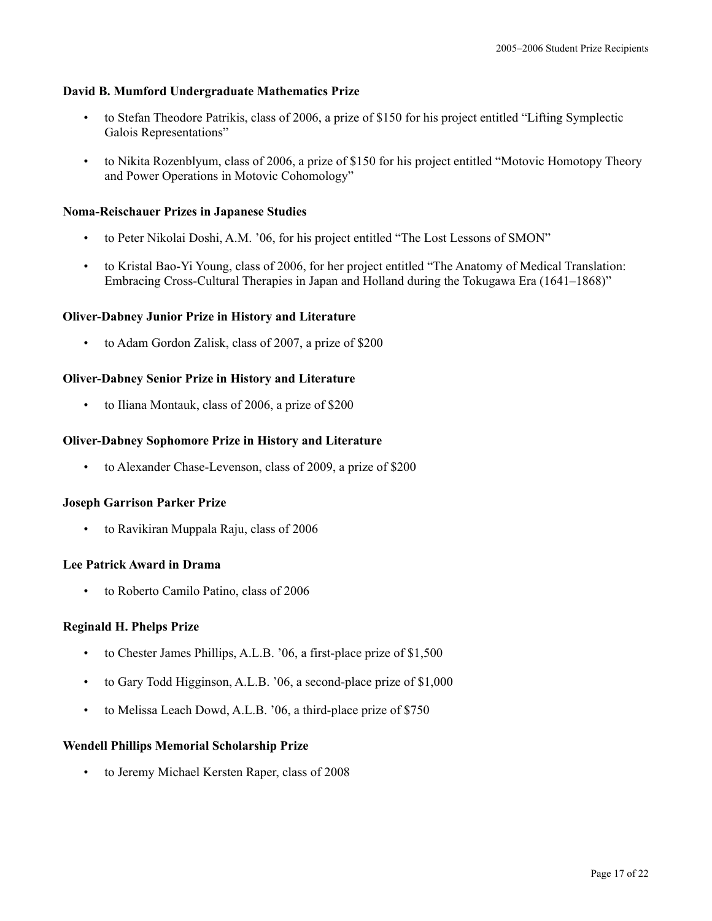## **David B. Mumford Undergraduate Mathematics Prize**

- to Stefan Theodore Patrikis, class of 2006, a prize of \$150 for his project entitled "Lifting Symplectic Galois Representations"
- to Nikita Rozenblyum, class of 2006, a prize of \$150 for his project entitled "Motovic Homotopy Theory and Power Operations in Motovic Cohomology"

## **Noma-Reischauer Prizes in Japanese Studies**

- to Peter Nikolai Doshi, A.M. '06, for his project entitled "The Lost Lessons of SMON"
- to Kristal Bao-Yi Young, class of 2006, for her project entitled "The Anatomy of Medical Translation: Embracing Cross-Cultural Therapies in Japan and Holland during the Tokugawa Era (1641–1868)"

## **Oliver-Dabney Junior Prize in History and Literature**

• to Adam Gordon Zalisk, class of 2007, a prize of \$200

## **Oliver-Dabney Senior Prize in History and Literature**

• to Iliana Montauk, class of 2006, a prize of \$200

## **Oliver-Dabney Sophomore Prize in History and Literature**

• to Alexander Chase-Levenson, class of 2009, a prize of \$200

#### **Joseph Garrison Parker Prize**

• to Ravikiran Muppala Raju, class of 2006

#### **Lee Patrick Award in Drama**

• to Roberto Camilo Patino, class of 2006

## **Reginald H. Phelps Prize**

- to Chester James Phillips, A.L.B. '06, a first-place prize of \$1,500
- to Gary Todd Higginson, A.L.B. '06, a second-place prize of \$1,000
- to Melissa Leach Dowd, A.L.B. '06, a third-place prize of \$750

#### **Wendell Phillips Memorial Scholarship Prize**

• to Jeremy Michael Kersten Raper, class of 2008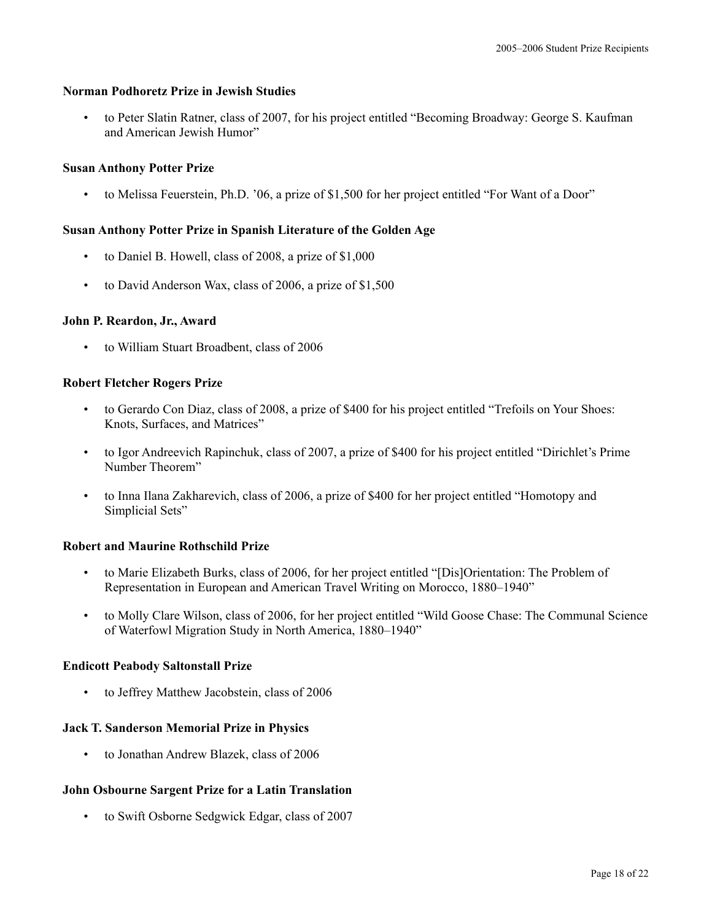# **Norman Podhoretz Prize in Jewish Studies**

• to Peter Slatin Ratner, class of 2007, for his project entitled "Becoming Broadway: George S. Kaufman and American Jewish Humor"

## **Susan Anthony Potter Prize**

• to Melissa Feuerstein, Ph.D. '06, a prize of \$1,500 for her project entitled "For Want of a Door"

# **Susan Anthony Potter Prize in Spanish Literature of the Golden Age**

- to Daniel B. Howell, class of 2008, a prize of \$1,000
- to David Anderson Wax, class of 2006, a prize of \$1,500

#### **John P. Reardon, Jr., Award**

• to William Stuart Broadbent, class of 2006

#### **Robert Fletcher Rogers Prize**

- to Gerardo Con Diaz, class of 2008, a prize of \$400 for his project entitled "Trefoils on Your Shoes: Knots, Surfaces, and Matrices"
- to Igor Andreevich Rapinchuk, class of 2007, a prize of \$400 for his project entitled "Dirichlet's Prime Number Theorem"
- to Inna Ilana Zakharevich, class of 2006, a prize of \$400 for her project entitled "Homotopy and Simplicial Sets"

# **Robert and Maurine Rothschild Prize**

- to Marie Elizabeth Burks, class of 2006, for her project entitled "[Dis]Orientation: The Problem of Representation in European and American Travel Writing on Morocco, 1880–1940"
- to Molly Clare Wilson, class of 2006, for her project entitled "Wild Goose Chase: The Communal Science of Waterfowl Migration Study in North America, 1880–1940"

#### **Endicott Peabody Saltonstall Prize**

• to Jeffrey Matthew Jacobstein, class of 2006

## **Jack T. Sanderson Memorial Prize in Physics**

• to Jonathan Andrew Blazek, class of 2006

# **John Osbourne Sargent Prize for a Latin Translation**

• to Swift Osborne Sedgwick Edgar, class of 2007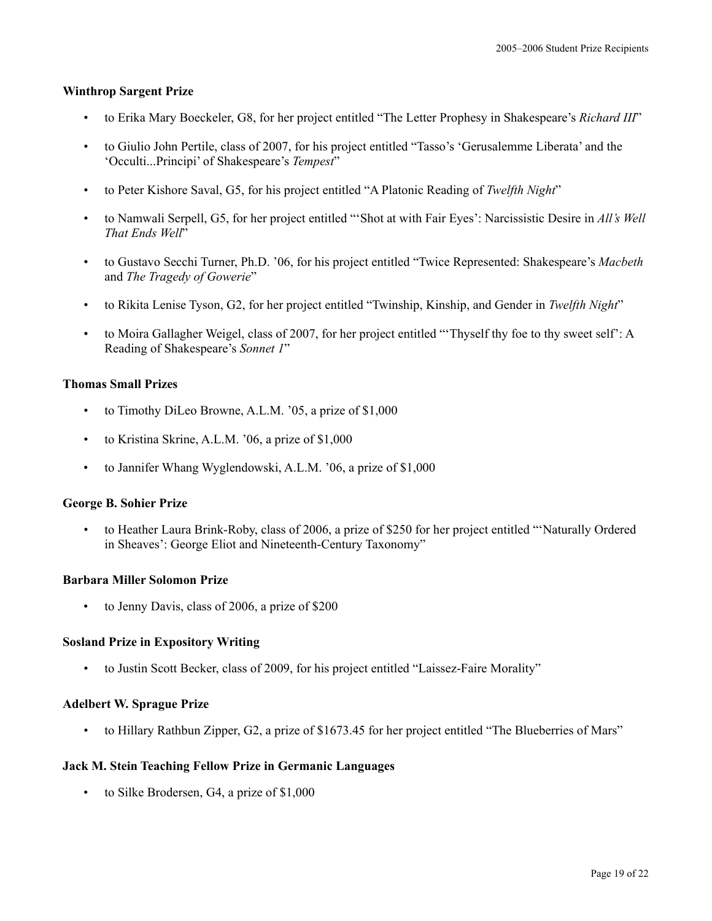## **Winthrop Sargent Prize**

- to Erika Mary Boeckeler, G8, for her project entitled "The Letter Prophesy in Shakespeare's *Richard III*"
- to Giulio John Pertile, class of 2007, for his project entitled "Tasso's 'Gerusalemme Liberata' and the 'Occulti...Principi' of Shakespeare's *Tempest*"
- to Peter Kishore Saval, G5, for his project entitled "A Platonic Reading of *Twelfth Night*"
- to Namwali Serpell, G5, for her project entitled "'Shot at with Fair Eyes': Narcissistic Desire in *All's Well That Ends Well*"
- to Gustavo Secchi Turner, Ph.D. '06, for his project entitled "Twice Represented: Shakespeare's *Macbeth* and *The Tragedy of Gowerie*"
- to Rikita Lenise Tyson, G2, for her project entitled "Twinship, Kinship, and Gender in *Twelfth Night*"
- to Moira Gallagher Weigel, class of 2007, for her project entitled "'Thyself thy foe to thy sweet self': A Reading of Shakespeare's *Sonnet 1*"

## **Thomas Small Prizes**

- to Timothy DiLeo Browne, A.L.M. '05, a prize of \$1,000
- to Kristina Skrine, A.L.M. '06, a prize of \$1,000
- to Jannifer Whang Wyglendowski, A.L.M. '06, a prize of \$1,000

#### **George B. Sohier Prize**

• to Heather Laura Brink-Roby, class of 2006, a prize of \$250 for her project entitled "'Naturally Ordered in Sheaves': George Eliot and Nineteenth-Century Taxonomy"

#### **Barbara Miller Solomon Prize**

• to Jenny Davis, class of 2006, a prize of \$200

#### **Sosland Prize in Expository Writing**

• to Justin Scott Becker, class of 2009, for his project entitled "Laissez-Faire Morality"

## **Adelbert W. Sprague Prize**

• to Hillary Rathbun Zipper, G2, a prize of \$1673.45 for her project entitled "The Blueberries of Mars"

#### **Jack M. Stein Teaching Fellow Prize in Germanic Languages**

• to Silke Brodersen, G4, a prize of \$1,000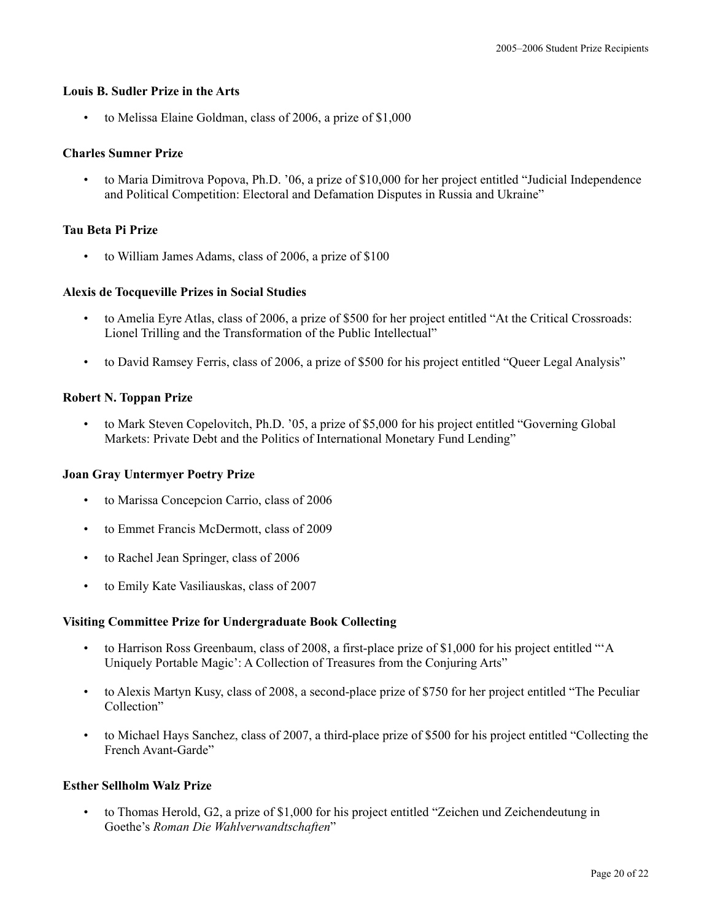## **Louis B. Sudler Prize in the Arts**

• to Melissa Elaine Goldman, class of 2006, a prize of \$1,000

#### **Charles Sumner Prize**

• to Maria Dimitrova Popova, Ph.D. '06, a prize of \$10,000 for her project entitled "Judicial Independence and Political Competition: Electoral and Defamation Disputes in Russia and Ukraine"

## **Tau Beta Pi Prize**

to William James Adams, class of 2006, a prize of \$100

#### **Alexis de Tocqueville Prizes in Social Studies**

- to Amelia Eyre Atlas, class of 2006, a prize of \$500 for her project entitled "At the Critical Crossroads: Lionel Trilling and the Transformation of the Public Intellectual"
- to David Ramsey Ferris, class of 2006, a prize of \$500 for his project entitled "Queer Legal Analysis"

## **Robert N. Toppan Prize**

• to Mark Steven Copelovitch, Ph.D. '05, a prize of \$5,000 for his project entitled "Governing Global Markets: Private Debt and the Politics of International Monetary Fund Lending"

#### **Joan Gray Untermyer Poetry Prize**

- to Marissa Concepcion Carrio, class of 2006
- to Emmet Francis McDermott, class of 2009
- to Rachel Jean Springer, class of 2006
- to Emily Kate Vasiliauskas, class of 2007

#### **Visiting Committee Prize for Undergraduate Book Collecting**

- to Harrison Ross Greenbaum, class of 2008, a first-place prize of \$1,000 for his project entitled "'A Uniquely Portable Magic': A Collection of Treasures from the Conjuring Arts"
- to Alexis Martyn Kusy, class of 2008, a second-place prize of \$750 for her project entitled "The Peculiar Collection"
- to Michael Hays Sanchez, class of 2007, a third-place prize of \$500 for his project entitled "Collecting the French Avant-Garde"

#### **Esther Sellholm Walz Prize**

• to Thomas Herold, G2, a prize of \$1,000 for his project entitled "Zeichen und Zeichendeutung in Goethe's *Roman Die Wahlverwandtschaften*"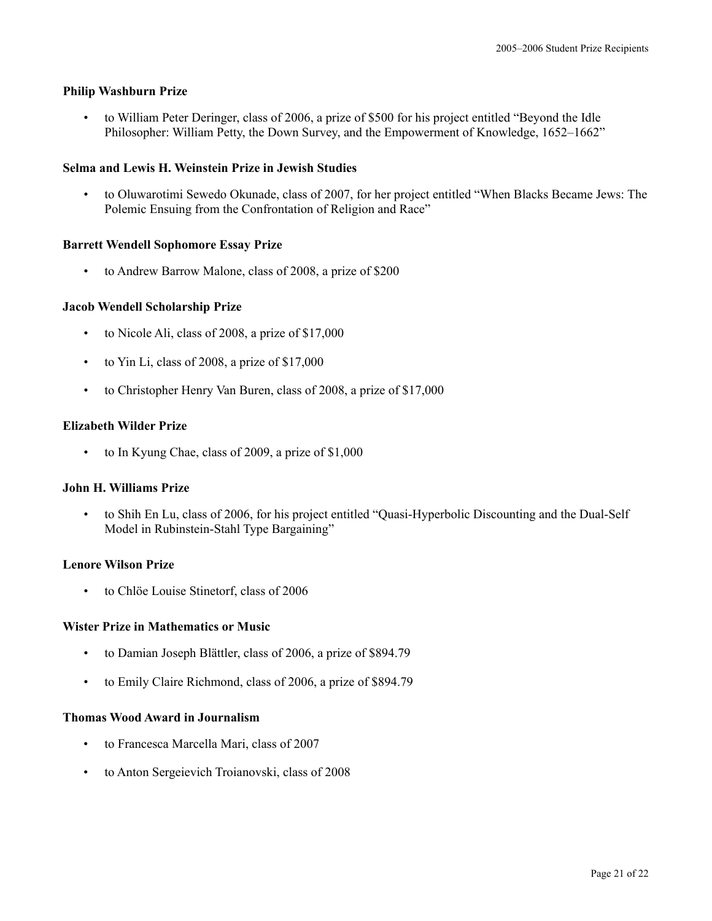## **Philip Washburn Prize**

• to William Peter Deringer, class of 2006, a prize of \$500 for his project entitled "Beyond the Idle Philosopher: William Petty, the Down Survey, and the Empowerment of Knowledge, 1652–1662"

## **Selma and Lewis H. Weinstein Prize in Jewish Studies**

• to Oluwarotimi Sewedo Okunade, class of 2007, for her project entitled "When Blacks Became Jews: The Polemic Ensuing from the Confrontation of Religion and Race"

## **Barrett Wendell Sophomore Essay Prize**

• to Andrew Barrow Malone, class of 2008, a prize of \$200

## **Jacob Wendell Scholarship Prize**

- to Nicole Ali, class of 2008, a prize of \$17,000
- to Yin Li, class of 2008, a prize of \$17,000
- to Christopher Henry Van Buren, class of 2008, a prize of \$17,000

## **Elizabeth Wilder Prize**

• to In Kyung Chae, class of 2009, a prize of \$1,000

#### **John H. Williams Prize**

• to Shih En Lu, class of 2006, for his project entitled "Quasi-Hyperbolic Discounting and the Dual-Self Model in Rubinstein-Stahl Type Bargaining"

## **Lenore Wilson Prize**

• to Chlöe Louise Stinetorf, class of 2006

#### **Wister Prize in Mathematics or Music**

- to Damian Joseph Blättler, class of 2006, a prize of \$894.79
- to Emily Claire Richmond, class of 2006, a prize of \$894.79

# **Thomas Wood Award in Journalism**

- to Francesca Marcella Mari, class of 2007
- to Anton Sergeievich Troianovski, class of 2008